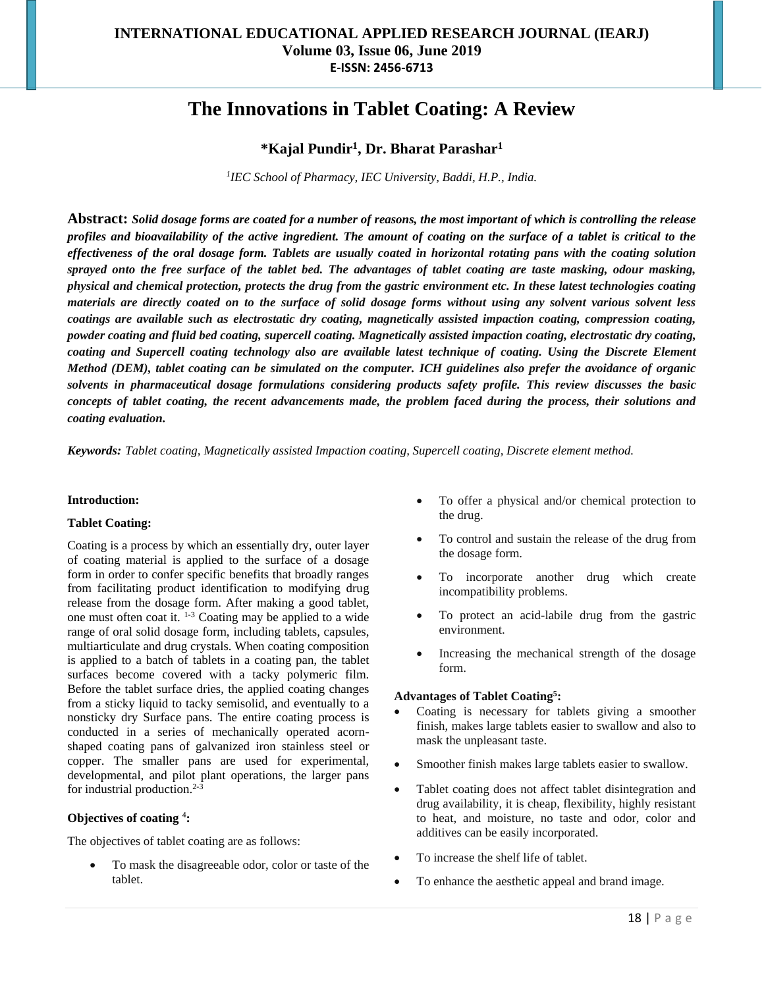# **The Innovations in Tablet Coating: A Review**

# **\*Kajal Pundir<sup>1</sup> , Dr. Bharat Parashar<sup>1</sup>**

*1 IEC School of Pharmacy, IEC University, Baddi, H.P., India.*

**Abstract:** *Solid dosage forms are coated for a number of reasons, the most important of which is controlling the release profiles and bioavailability of the active ingredient. The amount of coating on the surface of a tablet is critical to the effectiveness of the oral dosage form. Tablets are usually coated in horizontal rotating pans with the coating solution sprayed onto the free surface of the tablet bed. The advantages of tablet coating are taste masking, odour masking, physical and chemical protection, protects the drug from the gastric environment etc. In these latest technologies coating materials are directly coated on to the surface of solid dosage forms without using any solvent various solvent less coatings are available such as electrostatic dry coating, magnetically assisted impaction coating, compression coating, powder coating and fluid bed coating, supercell coating. Magnetically assisted impaction coating, electrostatic dry coating, coating and Supercell coating technology also are available latest technique of coating. Using the Discrete Element Method (DEM), tablet coating can be simulated on the computer. ICH guidelines also prefer the avoidance of organic solvents in pharmaceutical dosage formulations considering products safety profile. This review discusses the basic concepts of tablet coating, the recent advancements made, the problem faced during the process, their solutions and coating evaluation.*

*Keywords: Tablet coating, Magnetically assisted Impaction coating, Supercell coating, Discrete element method.*

#### **Introduction:**

#### **Tablet Coating:**

Coating is a process by which an essentially dry, outer layer of coating material is applied to the surface of a dosage form in order to confer specific benefits that broadly ranges from facilitating product identification to modifying drug release from the dosage form. After making a good tablet, one must often coat it. 1-3 Coating may be applied to a wide range of oral solid dosage form, including tablets, capsules, multiarticulate and drug crystals. When coating composition is applied to a batch of tablets in a coating pan, the tablet surfaces become covered with a tacky polymeric film. Before the tablet surface dries, the applied coating changes from a sticky liquid to tacky semisolid, and eventually to a nonsticky dry Surface pans. The entire coating process is conducted in a series of mechanically operated acornshaped coating pans of galvanized iron stainless steel or copper. The smaller pans are used for experimental, developmental, and pilot plant operations, the larger pans for industrial production.<sup>2-3</sup>

#### **Objectives of coating** <sup>4</sup> **:**

The objectives of tablet coating are as follows:

 To mask the disagreeable odor, color or taste of the tablet.

- To offer a physical and/or chemical protection to the drug.
- To control and sustain the release of the drug from the dosage form.
- To incorporate another drug which create incompatibility problems.
- To protect an acid-labile drug from the gastric environment.
- Increasing the mechanical strength of the dosage form.

#### **Advantages of Tablet Coating<sup>5</sup> :**

- Coating is necessary for tablets giving a smoother finish, makes large tablets easier to swallow and also to mask the unpleasant taste.
- Smoother finish makes large tablets easier to swallow.
- Tablet coating does not affect tablet disintegration and drug availability, it is cheap, flexibility, highly resistant to heat, and moisture, no taste and odor, color and additives can be easily incorporated.
- To increase the shelf life of tablet.
- To enhance the aesthetic appeal and brand image.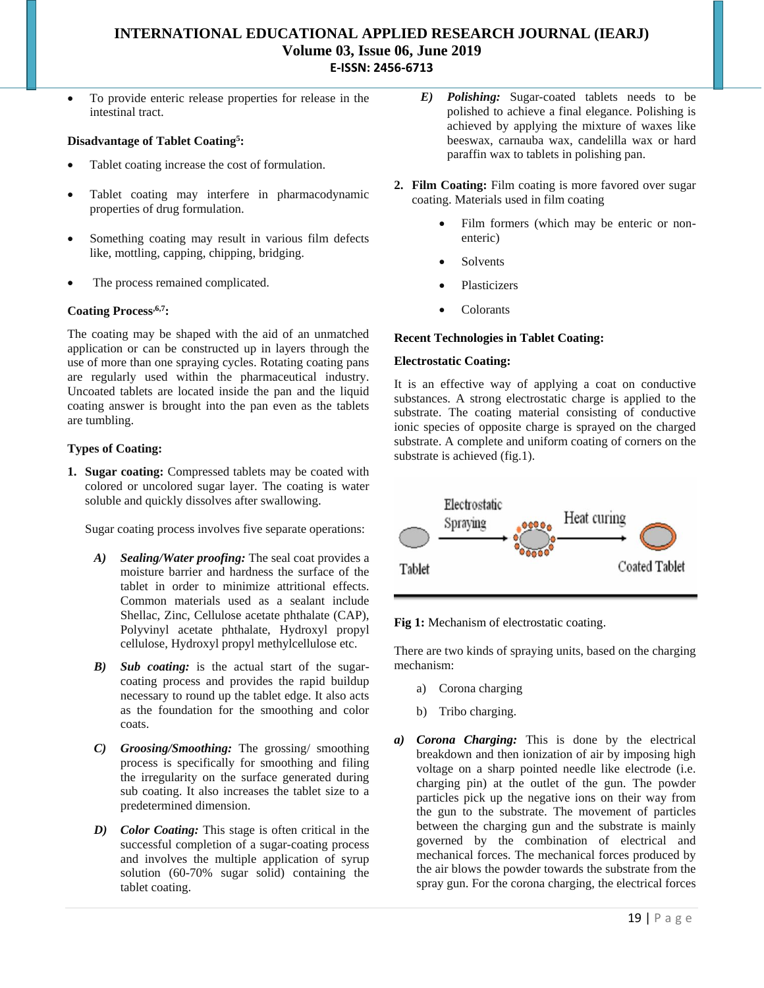To provide enteric release properties for release in the intestinal tract.

#### **Disadvantage of Tablet Coating<sup>5</sup> :**

- Tablet coating increase the cost of formulation.
- Tablet coating may interfere in pharmacodynamic properties of drug formulation.
- Something coating may result in various film defects like, mottling, capping, chipping, bridging.
- The process remained complicated.

#### **Coating Process,6,7:**

The coating may be shaped with the aid of an unmatched application or can be constructed up in layers through the use of more than one spraying cycles. Rotating coating pans are regularly used within the pharmaceutical industry. Uncoated tablets are located inside the pan and the liquid coating answer is brought into the pan even as the tablets are tumbling.

#### **Types of Coating:**

**1. Sugar coating:** Compressed tablets may be coated with colored or uncolored sugar layer. The coating is water soluble and quickly dissolves after swallowing.

Sugar coating process involves five separate operations:

- *A) Sealing/Water proofing:* The seal coat provides a moisture barrier and hardness the surface of the tablet in order to minimize attritional effects. Common materials used as a sealant include Shellac, Zinc, Cellulose acetate phthalate (CAP), Polyvinyl acetate phthalate, Hydroxyl propyl cellulose, Hydroxyl propyl methylcellulose etc.
- *B) Sub coating:* is the actual start of the sugarcoating process and provides the rapid buildup necessary to round up the tablet edge. It also acts as the foundation for the smoothing and color coats.
- *C) Groosing/Smoothing:* The grossing/ smoothing process is specifically for smoothing and filing the irregularity on the surface generated during sub coating. It also increases the tablet size to a predetermined dimension.
- *D) Color Coating:* This stage is often critical in the successful completion of a sugar-coating process and involves the multiple application of syrup solution (60-70% sugar solid) containing the tablet coating.
- *E) Polishing:* Sugar-coated tablets needs to be polished to achieve a final elegance. Polishing is achieved by applying the mixture of waxes like beeswax, carnauba wax, candelilla wax or hard paraffin wax to tablets in polishing pan.
- **2. Film Coating:** Film coating is more favored over sugar coating. Materials used in film coating
	- Film formers (which may be enteric or nonenteric)
	- Solvents
	- Plasticizers
	- Colorants

#### **Recent Technologies in Tablet Coating:**

#### **Electrostatic Coating:**

It is an effective way of applying a coat on conductive substances. A strong electrostatic charge is applied to the substrate. The coating material consisting of conductive ionic species of opposite charge is sprayed on the charged substrate. A complete and uniform coating of corners on the substrate is achieved (fig.1).



**Fig 1:** Mechanism of electrostatic coating.

There are two kinds of spraying units, based on the charging mechanism:

- a) Corona charging
- b) Tribo charging.
- *a) Corona Charging:* This is done by the electrical breakdown and then ionization of air by imposing high voltage on a sharp pointed needle like electrode (i.e. charging pin) at the outlet of the gun. The powder particles pick up the negative ions on their way from the gun to the substrate. The movement of particles between the charging gun and the substrate is mainly governed by the combination of electrical and mechanical forces. The mechanical forces produced by the air blows the powder towards the substrate from the spray gun. For the corona charging, the electrical forces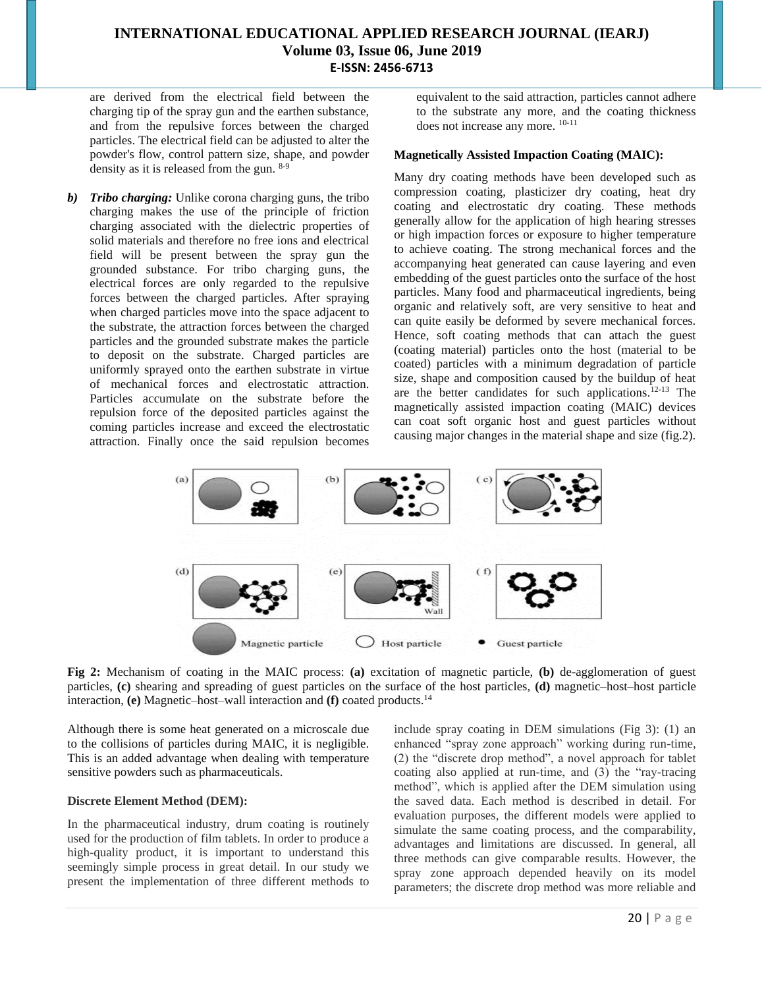are derived from the electrical field between the charging tip of the spray gun and the earthen substance, and from the repulsive forces between the charged particles. The electrical field can be adjusted to alter the powder's flow, control pattern size, shape, and powder density as it is released from the gun. 8-9

*b) Tribo charging:* Unlike corona charging guns, the tribo charging makes the use of the principle of friction charging associated with the dielectric properties of solid materials and therefore no free ions and electrical field will be present between the spray gun the grounded substance. For tribo charging guns, the electrical forces are only regarded to the repulsive forces between the charged particles. After spraying when charged particles move into the space adjacent to the substrate, the attraction forces between the charged particles and the grounded substrate makes the particle to deposit on the substrate. Charged particles are uniformly sprayed onto the earthen substrate in virtue of mechanical forces and electrostatic attraction. Particles accumulate on the substrate before the repulsion force of the deposited particles against the coming particles increase and exceed the electrostatic attraction. Finally once the said repulsion becomes equivalent to the said attraction, particles cannot adhere to the substrate any more, and the coating thickness does not increase any more. 10-11

#### **Magnetically Assisted Impaction Coating (MAIC):**

Many dry coating methods have been developed such as compression coating, plasticizer dry coating, heat dry coating and electrostatic dry coating. These methods generally allow for the application of high hearing stresses or high impaction forces or exposure to higher temperature to achieve coating. The strong mechanical forces and the accompanying heat generated can cause layering and even embedding of the guest particles onto the surface of the host particles. Many food and pharmaceutical ingredients, being organic and relatively soft, are very sensitive to heat and can quite easily be deformed by severe mechanical forces. Hence, soft coating methods that can attach the guest (coating material) particles onto the host (material to be coated) particles with a minimum degradation of particle size, shape and composition caused by the buildup of heat are the better candidates for such applications.12-13 The magnetically assisted impaction coating (MAIC) devices can coat soft organic host and guest particles without causing major changes in the material shape and size (fig.2).



**Fig 2:** Mechanism of coating in the MAIC process: **(a)** excitation of magnetic particle, **(b)** de-agglomeration of guest particles, **(c)** shearing and spreading of guest particles on the surface of the host particles, **(d)** magnetic–host–host particle interaction, **(e)** Magnetic–host–wall interaction and **(f)** coated products.<sup>14</sup>

Although there is some heat generated on a microscale due to the collisions of particles during MAIC, it is negligible. This is an added advantage when dealing with temperature sensitive powders such as pharmaceuticals.

#### **Discrete Element Method (DEM):**

In the pharmaceutical industry, drum coating is routinely used for the production of film tablets. In order to produce a high-quality product, it is important to understand this seemingly simple process in great detail. In our study we present the implementation of three different methods to include spray coating in DEM simulations (Fig 3): (1) an enhanced "spray zone approach" working during run-time, (2) the "discrete drop method", a novel approach for tablet coating also applied at run-time, and (3) the "ray-tracing method", which is applied after the DEM simulation using the saved data. Each method is described in detail. For evaluation purposes, the different models were applied to simulate the same coating process, and the comparability, advantages and limitations are discussed. In general, all three methods can give comparable results. However, the spray zone approach depended heavily on its model parameters; the discrete drop method was more reliable and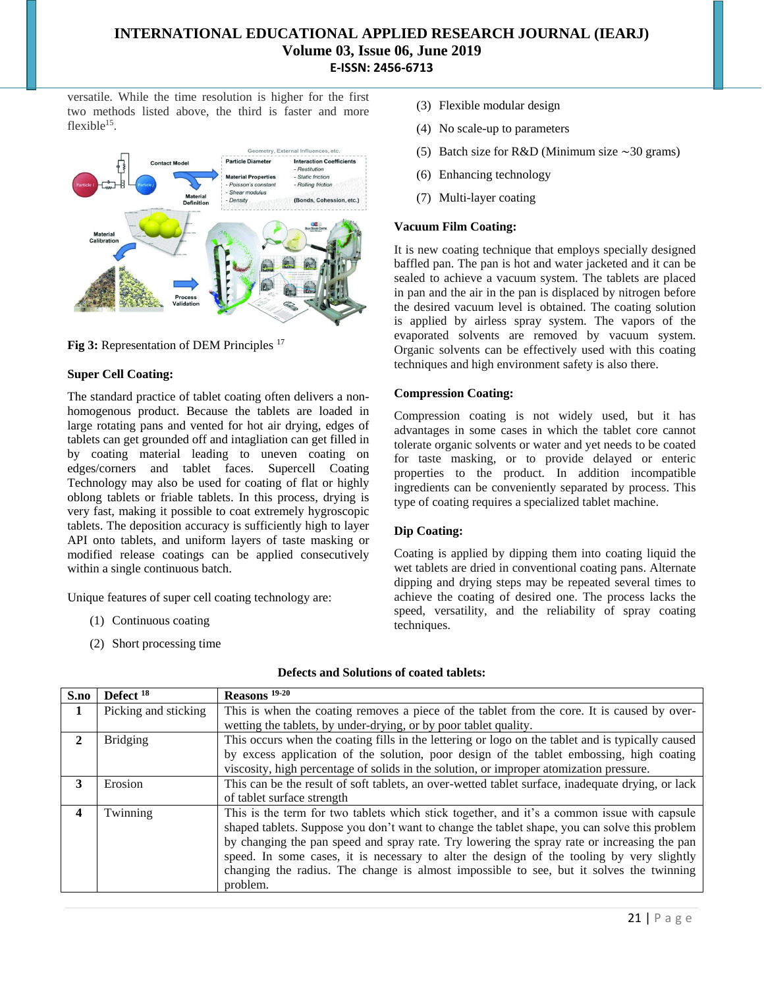versatile. While the time resolution is higher for the first two methods listed above, the third is faster and more flexible $15$ .



**Fig 3:** Representation of DEM Principles <sup>17</sup>

### **Super Cell Coating:**

The standard practice of tablet coating often delivers a nonhomogenous product. Because the tablets are loaded in large rotating pans and vented for hot air drying, edges of tablets can get grounded off and intagliation can get filled in by coating material leading to uneven coating on edges/corners and tablet faces. Supercell Coating Technology may also be used for coating of flat or highly oblong tablets or friable tablets. In this process, drying is very fast, making it possible to coat extremely hygroscopic tablets. The deposition accuracy is sufficiently high to layer API onto tablets, and uniform layers of taste masking or modified release coatings can be applied consecutively within a single continuous batch.

Unique features of super cell coating technology are:

- (1) Continuous coating
- (2) Short processing time
- (3) Flexible modular design
- (4) No scale-up to parameters
- (5) Batch size for R&D (Minimum size ∼30 grams)
- (6) Enhancing technology
- (7) Multi-layer coating

#### **Vacuum Film Coating:**

It is new coating technique that employs specially designed baffled pan. The pan is hot and water jacketed and it can be sealed to achieve a vacuum system. The tablets are placed in pan and the air in the pan is displaced by nitrogen before the desired vacuum level is obtained. The coating solution is applied by airless spray system. The vapors of the evaporated solvents are removed by vacuum system. Organic solvents can be effectively used with this coating techniques and high environment safety is also there.

#### **Compression Coating:**

Compression coating is not widely used, but it has advantages in some cases in which the tablet core cannot tolerate organic solvents or water and yet needs to be coated for taste masking, or to provide delayed or enteric properties to the product. In addition incompatible ingredients can be conveniently separated by process. This type of coating requires a specialized tablet machine.

#### **Dip Coating:**

Coating is applied by dipping them into coating liquid the wet tablets are dried in conventional coating pans. Alternate dipping and drying steps may be repeated several times to achieve the coating of desired one. The process lacks the speed, versatility, and the reliability of spray coating techniques.

| S.no | Defect <sup>18</sup> | Reasons <sup>19-20</sup>                                                                          |
|------|----------------------|---------------------------------------------------------------------------------------------------|
| 1    | Picking and sticking | This is when the coating removes a piece of the tablet from the core. It is caused by over-       |
|      |                      | wetting the tablets, by under-drying, or by poor tablet quality.                                  |
| 2    | <b>Bridging</b>      | This occurs when the coating fills in the lettering or logo on the tablet and is typically caused |
|      |                      | by excess application of the solution, poor design of the tablet embossing, high coating          |
|      |                      | viscosity, high percentage of solids in the solution, or improper atomization pressure.           |
| 3    | Erosion              | This can be the result of soft tablets, an over-wetted tablet surface, inadequate drying, or lack |
|      |                      | of tablet surface strength                                                                        |
| 4    | Twinning             | This is the term for two tablets which stick together, and it's a common issue with capsule       |
|      |                      | shaped tablets. Suppose you don't want to change the tablet shape, you can solve this problem     |
|      |                      | by changing the pan speed and spray rate. Try lowering the spray rate or increasing the pan       |
|      |                      | speed. In some cases, it is necessary to alter the design of the tooling by very slightly         |
|      |                      | changing the radius. The change is almost impossible to see, but it solves the twinning           |
|      |                      | problem.                                                                                          |

#### **Defects and Solutions of coated tablets:**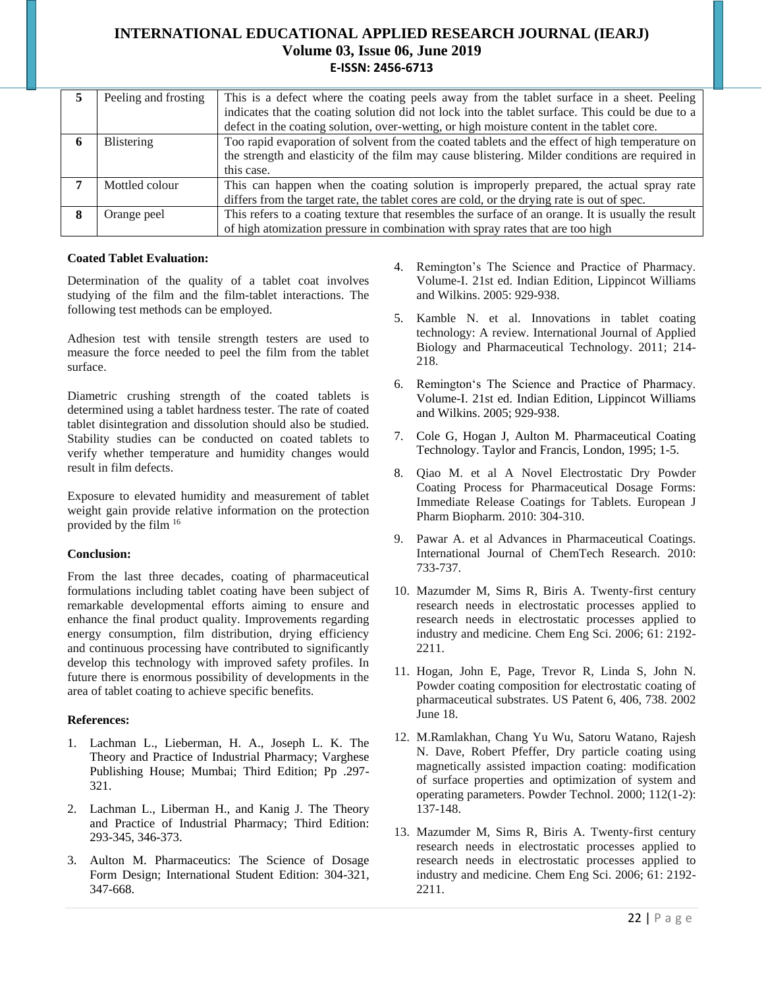|   | Peeling and frosting | This is a defect where the coating peels away from the tablet surface in a sheet. Peeling          |
|---|----------------------|----------------------------------------------------------------------------------------------------|
|   |                      | indicates that the coating solution did not lock into the tablet surface. This could be due to a   |
|   |                      | defect in the coating solution, over-wetting, or high moisture content in the tablet core.         |
|   | <b>Blistering</b>    | Too rapid evaporation of solvent from the coated tablets and the effect of high temperature on     |
|   |                      | the strength and elasticity of the film may cause blistering. Milder conditions are required in    |
|   |                      | this case.                                                                                         |
|   | Mottled colour       | This can happen when the coating solution is improperly prepared, the actual spray rate            |
|   |                      | differs from the target rate, the tablet cores are cold, or the drying rate is out of spec.        |
| 8 | Orange peel          | This refers to a coating texture that resembles the surface of an orange. It is usually the result |
|   |                      | of high atomization pressure in combination with spray rates that are too high                     |

### **Coated Tablet Evaluation:**

Determination of the quality of a tablet coat involves studying of the film and the film-tablet interactions. The following test methods can be employed.

Adhesion test with tensile strength testers are used to measure the force needed to peel the film from the tablet surface.

Diametric crushing strength of the coated tablets is determined using a tablet hardness tester. The rate of coated tablet disintegration and dissolution should also be studied. Stability studies can be conducted on coated tablets to verify whether temperature and humidity changes would result in film defects.

Exposure to elevated humidity and measurement of tablet weight gain provide relative information on the protection provided by the film <sup>16</sup>

## **Conclusion:**

From the last three decades, coating of pharmaceutical formulations including tablet coating have been subject of remarkable developmental efforts aiming to ensure and enhance the final product quality. Improvements regarding energy consumption, film distribution, drying efficiency and continuous processing have contributed to significantly develop this technology with improved safety profiles. In future there is enormous possibility of developments in the area of tablet coating to achieve specific benefits.

## **References:**

- 1. Lachman L., Lieberman, H. A., Joseph L. K. The Theory and Practice of Industrial Pharmacy; Varghese Publishing House; Mumbai; Third Edition; Pp .297- 321.
- 2. Lachman L., Liberman H., and Kanig J. The Theory and Practice of Industrial Pharmacy; Third Edition: 293-345, 346-373.
- 3. Aulton M. Pharmaceutics: The Science of Dosage Form Design; International Student Edition: 304-321, 347-668.
- 4. Remington's The Science and Practice of Pharmacy. Volume-I. 21st ed. Indian Edition, Lippincot Williams and Wilkins. 2005: 929-938.
- 5. Kamble N. et al. Innovations in tablet coating technology: A review. International Journal of Applied Biology and Pharmaceutical Technology. 2011; 214- 218.
- 6. Remington's The Science and Practice of Pharmacy. Volume-I. 21st ed. Indian Edition, Lippincot Williams and Wilkins. 2005; 929-938.
- 7. Cole G, Hogan J, Aulton M. Pharmaceutical Coating Technology. Taylor and Francis, London, 1995; 1-5.
- 8. Qiao M. et al A Novel Electrostatic Dry Powder Coating Process for Pharmaceutical Dosage Forms: Immediate Release Coatings for Tablets. European J Pharm Biopharm. 2010: 304-310.
- 9. Pawar A. et al Advances in Pharmaceutical Coatings. International Journal of ChemTech Research. 2010: 733-737.
- 10. Mazumder M, Sims R, Biris A. Twenty-first century research needs in electrostatic processes applied to research needs in electrostatic processes applied to industry and medicine. Chem Eng Sci. 2006; 61: 2192- 2211.
- 11. Hogan, John E, Page, Trevor R, Linda S, John N. Powder coating composition for electrostatic coating of pharmaceutical substrates. US Patent 6, 406, 738. 2002 June 18.
- 12. M.Ramlakhan, Chang Yu Wu, Satoru Watano, Rajesh N. Dave, Robert Pfeffer, Dry particle coating using magnetically assisted impaction coating: modification of surface properties and optimization of system and operating parameters. Powder Technol. 2000; 112(1-2): 137-148.
- 13. Mazumder M, Sims R, Biris A. Twenty-first century research needs in electrostatic processes applied to research needs in electrostatic processes applied to industry and medicine. Chem Eng Sci. 2006; 61: 2192- 2211.